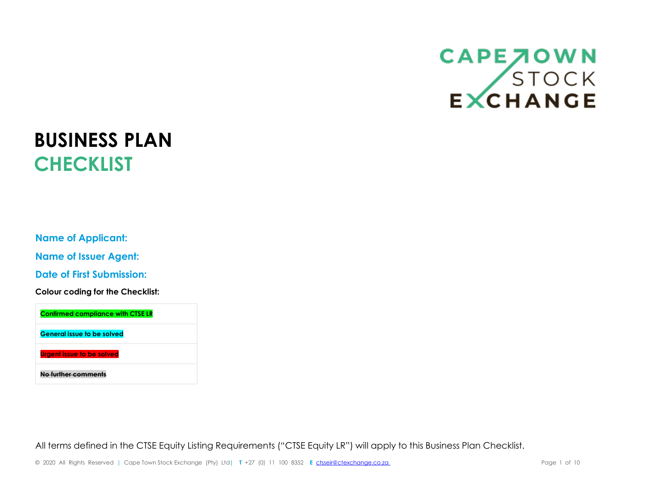## CAPE JOWN<br>STOCK<br>EXCHANGE

## **BUSINESS PLAN CHECKLIST**

**Name of Applicant:**

**Name of Issuer Agent:**

**Date of First Submission:**

**Colour coding for the Checklist:**



All terms defined in the CTSE Equity Listing Requirements ("CTSE Equity LR") will apply to this Business Plan Checklist.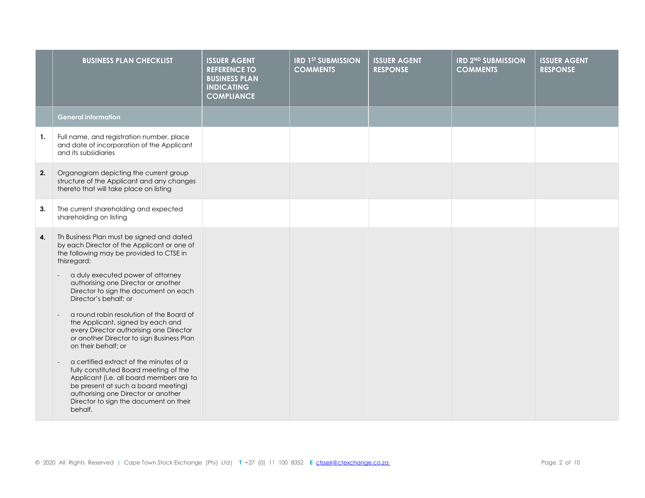|    | <b>BUSINESS PLAN CHECKLIST</b>                                                                                                                                                                                                                                                                                                                                                                                       | <b>ISSUER AGENT</b><br><b>REFERENCE TO</b><br><b>BUSINESS PLAN</b><br><b>INDICATING</b><br><b>COMPLIANCE</b> | <b>IRD 1ST SUBMISSION</b><br><b>COMMENTS</b> | <b>ISSUER AGENT</b><br><b>RESPONSE</b> | <b>IRD 2ND SUBMISSION</b><br><b>COMMENTS</b> | <b>ISSUER AGENT</b><br><b>RESPONSE</b> |
|----|----------------------------------------------------------------------------------------------------------------------------------------------------------------------------------------------------------------------------------------------------------------------------------------------------------------------------------------------------------------------------------------------------------------------|--------------------------------------------------------------------------------------------------------------|----------------------------------------------|----------------------------------------|----------------------------------------------|----------------------------------------|
|    | <b>General information</b>                                                                                                                                                                                                                                                                                                                                                                                           |                                                                                                              |                                              |                                        |                                              |                                        |
| 1. | Full name, and registration number, place<br>and date of incorporation of the Applicant<br>and its subsidiaries                                                                                                                                                                                                                                                                                                      |                                                                                                              |                                              |                                        |                                              |                                        |
| 2. | Organogram depicting the current group<br>structure of the Applicant and any changes<br>thereto that will take place on listing                                                                                                                                                                                                                                                                                      |                                                                                                              |                                              |                                        |                                              |                                        |
| 3. | The current shareholding and expected<br>shareholding on listing                                                                                                                                                                                                                                                                                                                                                     |                                                                                                              |                                              |                                        |                                              |                                        |
| 4. | Th Business Plan must be signed and dated<br>by each Director of the Applicant or one of<br>the following may be provided to CTSE in<br>thisregard:<br>a duly executed power of attorney<br>authorising one Director or another<br>Director to sign the document on each<br>Director's behalf; or<br>a round robin resolution of the Board of                                                                        |                                                                                                              |                                              |                                        |                                              |                                        |
|    | the Applicant, signed by each and<br>every Director authorising one Director<br>or another Director to sign Business Plan<br>on their behalf; or<br>a certified extract of the minutes of a<br>fully constituted Board meeting of the<br>Applicant (i.e. all board members are to<br>be present at such a board meeting)<br>authorising one Director or another<br>Director to sign the document on their<br>behalf. |                                                                                                              |                                              |                                        |                                              |                                        |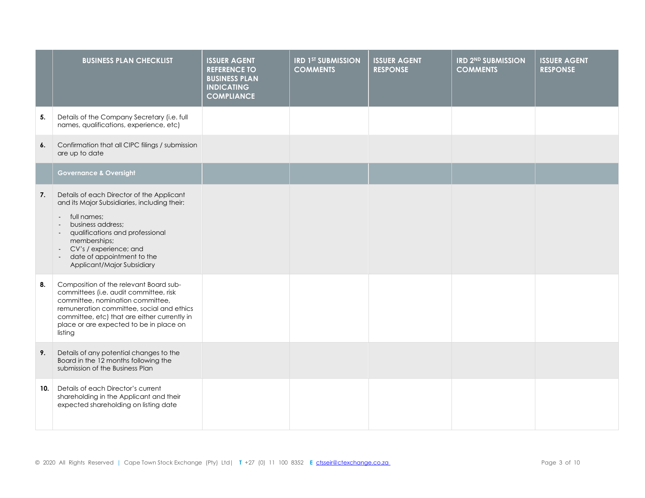|     | <b>BUSINESS PLAN CHECKLIST</b>                                                                                                                                                                                                                                                                                                 | <b>ISSUER AGENT</b><br><b>REFERENCE TO</b><br><b>BUSINESS PLAN</b><br><b>INDICATING</b><br><b>COMPLIANCE</b> | <b>IRD 1ST SUBMISSION</b><br><b>COMMENTS</b> | <b>ISSUER AGENT</b><br><b>RESPONSE</b> | <b>IRD 2ND SUBMISSION</b><br><b>COMMENTS</b> | <b>ISSUER AGENT</b><br><b>RESPONSE</b> |
|-----|--------------------------------------------------------------------------------------------------------------------------------------------------------------------------------------------------------------------------------------------------------------------------------------------------------------------------------|--------------------------------------------------------------------------------------------------------------|----------------------------------------------|----------------------------------------|----------------------------------------------|----------------------------------------|
| 5.  | Details of the Company Secretary (i.e. full<br>names, qualifications, experience, etc)                                                                                                                                                                                                                                         |                                                                                                              |                                              |                                        |                                              |                                        |
| 6.  | Confirmation that all CIPC filings / submission<br>are up to date                                                                                                                                                                                                                                                              |                                                                                                              |                                              |                                        |                                              |                                        |
|     | <b>Governance &amp; Oversight</b>                                                                                                                                                                                                                                                                                              |                                                                                                              |                                              |                                        |                                              |                                        |
| 7.  | Details of each Director of the Applicant<br>and its Major Subsidiaries, including their:<br>full names;<br>$\blacksquare$<br>business address;<br>qualifications and professional<br>$\sim$<br>memberships;<br>CV's / experience; and<br>$\sim$<br>date of appointment to the<br>$\blacksquare$<br>Applicant/Major Subsidiary |                                                                                                              |                                              |                                        |                                              |                                        |
| 8.  | Composition of the relevant Board sub-<br>committees (i.e. audit committee, risk<br>committee, nomination committee,<br>remuneration committee, social and ethics<br>committee, etc) that are either currently in<br>place or are expected to be in place on<br>listing                                                        |                                                                                                              |                                              |                                        |                                              |                                        |
| 9.  | Details of any potential changes to the<br>Board in the 12 months following the<br>submission of the Business Plan                                                                                                                                                                                                             |                                                                                                              |                                              |                                        |                                              |                                        |
| 10. | Details of each Director's current<br>shareholding in the Applicant and their<br>expected shareholding on listing date                                                                                                                                                                                                         |                                                                                                              |                                              |                                        |                                              |                                        |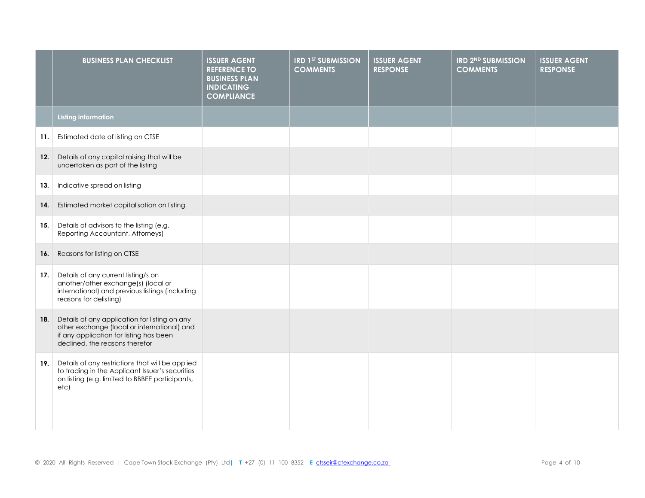|     | <b>BUSINESS PLAN CHECKLIST</b>                                                                                                                                            | <b>ISSUER AGENT</b><br><b>REFERENCE TO</b><br><b>BUSINESS PLAN</b><br><b>INDICATING</b><br><b>COMPLIANCE</b> | <b>IRD 1ST SUBMISSION</b><br><b>COMMENTS</b> | <b>ISSUER AGENT</b><br><b>RESPONSE</b> | <b>IRD 2ND SUBMISSION</b><br><b>COMMENTS</b> | <b>ISSUER AGENT</b><br><b>RESPONSE</b> |
|-----|---------------------------------------------------------------------------------------------------------------------------------------------------------------------------|--------------------------------------------------------------------------------------------------------------|----------------------------------------------|----------------------------------------|----------------------------------------------|----------------------------------------|
|     | <b>Listing information</b>                                                                                                                                                |                                                                                                              |                                              |                                        |                                              |                                        |
| 11. | Estimated date of listing on CTSE                                                                                                                                         |                                                                                                              |                                              |                                        |                                              |                                        |
| 12. | Details of any capital raising that will be<br>undertaken as part of the listing                                                                                          |                                                                                                              |                                              |                                        |                                              |                                        |
| 13. | Indicative spread on listing                                                                                                                                              |                                                                                                              |                                              |                                        |                                              |                                        |
| 14. | Estimated market capitalisation on listing                                                                                                                                |                                                                                                              |                                              |                                        |                                              |                                        |
| 15. | Details of advisors to the listing (e.g.<br>Reporting Accountant, Attorneys)                                                                                              |                                                                                                              |                                              |                                        |                                              |                                        |
| 16. | Reasons for listing on CTSE                                                                                                                                               |                                                                                                              |                                              |                                        |                                              |                                        |
| 17. | Details of any current listing/s on<br>another/other exchange(s) (local or<br>international) and previous listings (including<br>reasons for delisting)                   |                                                                                                              |                                              |                                        |                                              |                                        |
| 18. | Details of any application for listing on any<br>other exchange (local or international) and<br>if any application for listing has been<br>declined, the reasons therefor |                                                                                                              |                                              |                                        |                                              |                                        |
| 19. | Details of any restrictions that will be applied<br>to trading in the Applicant Issuer's securities<br>on listing (e.g. limited to BBBEE participants,<br>etc)            |                                                                                                              |                                              |                                        |                                              |                                        |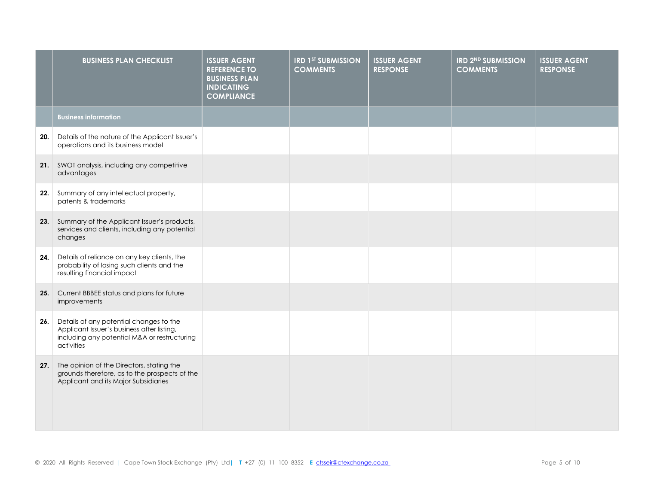|     | <b>BUSINESS PLAN CHECKLIST</b>                                                                                                                      | <b>ISSUER AGENT</b><br><b>REFERENCE TO</b><br><b>BUSINESS PLAN</b><br><b>INDICATING</b><br><b>COMPLIANCE</b> | <b>IRD 1ST SUBMISSION</b><br><b>COMMENTS</b> | <b>ISSUER AGENT</b><br><b>RESPONSE</b> | <b>IRD 2ND SUBMISSION</b><br><b>COMMENTS</b> | <b>ISSUER AGENT</b><br><b>RESPONSE</b> |
|-----|-----------------------------------------------------------------------------------------------------------------------------------------------------|--------------------------------------------------------------------------------------------------------------|----------------------------------------------|----------------------------------------|----------------------------------------------|----------------------------------------|
|     | <b>Business information</b>                                                                                                                         |                                                                                                              |                                              |                                        |                                              |                                        |
| 20. | Details of the nature of the Applicant Issuer's<br>operations and its business model                                                                |                                                                                                              |                                              |                                        |                                              |                                        |
|     | 21. SWOT analysis, including any competitive<br>advantages                                                                                          |                                                                                                              |                                              |                                        |                                              |                                        |
| 22. | Summary of any intellectual property,<br>patents & trademarks                                                                                       |                                                                                                              |                                              |                                        |                                              |                                        |
|     | 23. Summary of the Applicant Issuer's products,<br>services and clients, including any potential<br>changes                                         |                                                                                                              |                                              |                                        |                                              |                                        |
| 24. | Details of reliance on any key clients, the<br>probability of losing such clients and the<br>resulting financial impact                             |                                                                                                              |                                              |                                        |                                              |                                        |
| 25. | Current BBBEE status and plans for future<br>improvements                                                                                           |                                                                                                              |                                              |                                        |                                              |                                        |
| 26. | Details of any potential changes to the<br>Applicant Issuer's business after listing,<br>including any potential M&A or restructuring<br>activities |                                                                                                              |                                              |                                        |                                              |                                        |
| 27. | The opinion of the Directors, stating the<br>grounds therefore, as to the prospects of the<br>Applicant and its Major Subsidiaries                  |                                                                                                              |                                              |                                        |                                              |                                        |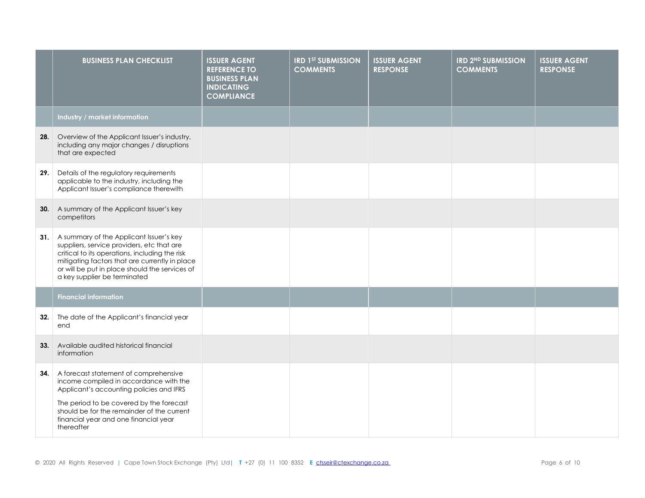|     | <b>BUSINESS PLAN CHECKLIST</b>                                                                                                                                                                                                                                               | <b>ISSUER AGENT</b><br><b>REFERENCE TO</b><br><b>BUSINESS PLAN</b><br><b>INDICATING</b><br><b>COMPLIANCE</b> | <b>IRD 1ST SUBMISSION</b><br><b>COMMENTS</b> | <b>ISSUER AGENT</b><br><b>RESPONSE</b> | <b>IRD 2ND SUBMISSION</b><br><b>COMMENTS</b> | <b>ISSUER AGENT</b><br><b>RESPONSE</b> |
|-----|------------------------------------------------------------------------------------------------------------------------------------------------------------------------------------------------------------------------------------------------------------------------------|--------------------------------------------------------------------------------------------------------------|----------------------------------------------|----------------------------------------|----------------------------------------------|----------------------------------------|
|     | Industry / market information                                                                                                                                                                                                                                                |                                                                                                              |                                              |                                        |                                              |                                        |
|     | 28. Overview of the Applicant Issuer's industry,<br>including any major changes / disruptions<br>that are expected                                                                                                                                                           |                                                                                                              |                                              |                                        |                                              |                                        |
| 29. | Details of the regulatory requirements<br>applicable to the industry, including the<br>Applicant Issuer's compliance therewith                                                                                                                                               |                                                                                                              |                                              |                                        |                                              |                                        |
|     | <b>30.</b> A summary of the Applicant Issuer's key<br>competitors                                                                                                                                                                                                            |                                                                                                              |                                              |                                        |                                              |                                        |
| 31. | A summary of the Applicant Issuer's key<br>suppliers, service providers, etc that are<br>critical to its operations, including the risk<br>mitigating factors that are currently in place<br>or will be put in place should the services of<br>a key supplier be terminated  |                                                                                                              |                                              |                                        |                                              |                                        |
|     | <b>Financial information</b>                                                                                                                                                                                                                                                 |                                                                                                              |                                              |                                        |                                              |                                        |
| 32. | The date of the Applicant's financial year<br>end                                                                                                                                                                                                                            |                                                                                                              |                                              |                                        |                                              |                                        |
| 33. | Available audited historical financial<br>information                                                                                                                                                                                                                        |                                                                                                              |                                              |                                        |                                              |                                        |
| 34. | A forecast statement of comprehensive<br>income compiled in accordance with the<br>Applicant's accounting policies and IFRS<br>The period to be covered by the forecast<br>should be for the remainder of the current<br>financial year and one financial year<br>thereafter |                                                                                                              |                                              |                                        |                                              |                                        |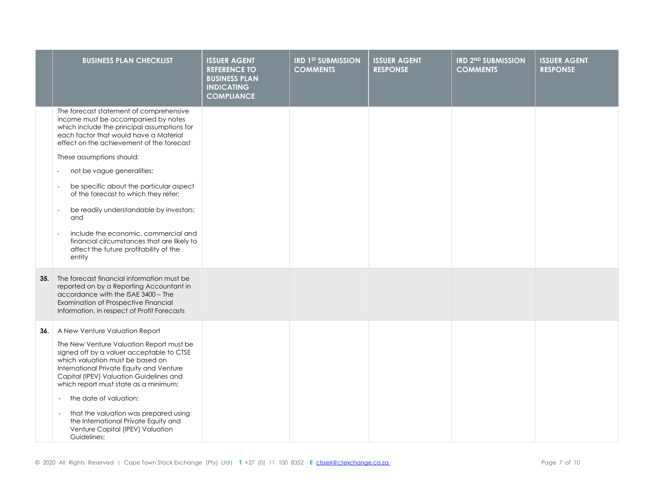|     | <b>BUSINESS PLAN CHECKLIST</b>                                                                                                                                                                                                                                                                                                                                                                                                                                                                                                                                                                                         | <b>ISSUER AGENT</b><br><b>REFERENCE TO</b><br><b>BUSINESS PLAN</b><br><b>INDICATING</b><br><b>COMPLIANCE</b> | <b>IRD 1ST SUBMISSION</b><br><b>COMMENTS</b> | <b>ISSUER AGENT</b><br><b>RESPONSE</b> | <b>IRD 2ND SUBMISSION</b><br><b>COMMENTS</b> | <b>ISSUER AGENT</b><br><b>RESPONSE</b> |
|-----|------------------------------------------------------------------------------------------------------------------------------------------------------------------------------------------------------------------------------------------------------------------------------------------------------------------------------------------------------------------------------------------------------------------------------------------------------------------------------------------------------------------------------------------------------------------------------------------------------------------------|--------------------------------------------------------------------------------------------------------------|----------------------------------------------|----------------------------------------|----------------------------------------------|----------------------------------------|
|     | The forecast statement of comprehensive<br>income must be accompanied by notes<br>which include the principal assumptions for<br>each factor that would have a Material<br>effect on the achievement of the forecast<br>These assumptions should:<br>not be vague generalities;<br>be specific about the particular aspect<br>of the forecast to which they refer;<br>be readily understandable by investors;<br>$\overline{\phantom{a}}$<br>and<br>include the economic, commercial and<br>$\overline{\phantom{a}}$<br>financial circumstances that are likely to<br>affect the future profitability of the<br>entity |                                                                                                              |                                              |                                        |                                              |                                        |
| 35. | The forecast financial information must be<br>reported on by a Reporting Accountant in<br>accordance with the ISAE 3400 - The<br>Examination of Prospective Financial<br>Information, in respect of Profit Forecasts                                                                                                                                                                                                                                                                                                                                                                                                   |                                                                                                              |                                              |                                        |                                              |                                        |
| 36. | A New Venture Valuation Report<br>The New Venture Valuation Report must be<br>signed off by a valuer acceptable to CTSE<br>which valuation must be based on<br>International Private Equity and Venture<br>Capital (IPEV) Valuation Guidelines and<br>which report must state as a minimum:<br>the date of valuation;<br>$\sim$<br>that the valuation was prepared using<br>the International Private Equity and<br>Venture Capital (IPEV) Valuation<br>Guidelines;                                                                                                                                                    |                                                                                                              |                                              |                                        |                                              |                                        |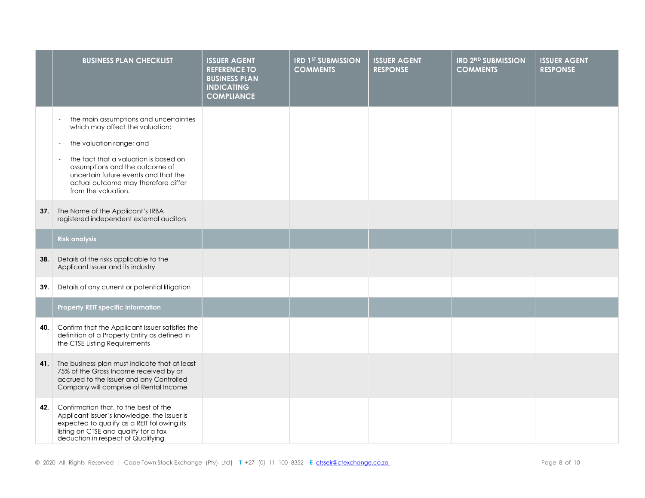|     | <b>BUSINESS PLAN CHECKLIST</b>                                                                                                                                                                                                                                                                                                               | <b>ISSUER AGENT</b><br><b>REFERENCE TO</b><br><b>BUSINESS PLAN</b><br><b>INDICATING</b><br><b>COMPLIANCE</b> | <b>IRD 1ST SUBMISSION</b><br><b>COMMENTS</b> | <b>ISSUER AGENT</b><br><b>RESPONSE</b> | <b>IRD 2ND SUBMISSION</b><br><b>COMMENTS</b> | <b>ISSUER AGENT</b><br><b>RESPONSE</b> |
|-----|----------------------------------------------------------------------------------------------------------------------------------------------------------------------------------------------------------------------------------------------------------------------------------------------------------------------------------------------|--------------------------------------------------------------------------------------------------------------|----------------------------------------------|----------------------------------------|----------------------------------------------|----------------------------------------|
|     | the main assumptions and uncertainties<br>$\blacksquare$<br>which may affect the valuation;<br>the valuation range; and<br>$\blacksquare$<br>the fact that a valuation is based on<br>$\blacksquare$<br>assumptions and the outcome of<br>uncertain future events and that the<br>actual outcome may therefore differ<br>from the valuation. |                                                                                                              |                                              |                                        |                                              |                                        |
| 37. | The Name of the Applicant's IRBA<br>registered independent external auditors                                                                                                                                                                                                                                                                 |                                                                                                              |                                              |                                        |                                              |                                        |
|     | <b>Risk analysis</b>                                                                                                                                                                                                                                                                                                                         |                                                                                                              |                                              |                                        |                                              |                                        |
| 38. | Details of the risks applicable to the<br>Applicant Issuer and its industry                                                                                                                                                                                                                                                                  |                                                                                                              |                                              |                                        |                                              |                                        |
| 39. | Details of any current or potential litigation                                                                                                                                                                                                                                                                                               |                                                                                                              |                                              |                                        |                                              |                                        |
|     | Property REIT specific information                                                                                                                                                                                                                                                                                                           |                                                                                                              |                                              |                                        |                                              |                                        |
| 40. | Confirm that the Applicant Issuer satisfies the<br>definition of a Property Entity as defined in<br>the CTSE Listing Requirements                                                                                                                                                                                                            |                                                                                                              |                                              |                                        |                                              |                                        |
| 41. | The business plan must indicate that at least<br>75% of the Gross Income received by or<br>accrued to the Issuer and any Controlled<br>Company will comprise of Rental Income                                                                                                                                                                |                                                                                                              |                                              |                                        |                                              |                                        |
| 42. | Confirmation that, to the best of the<br>Applicant Issuer's knowledge, the Issuer is<br>expected to qualify as a REIT following its<br>listing on CTSE and qualify for a tax<br>deduction in respect of Qualifying                                                                                                                           |                                                                                                              |                                              |                                        |                                              |                                        |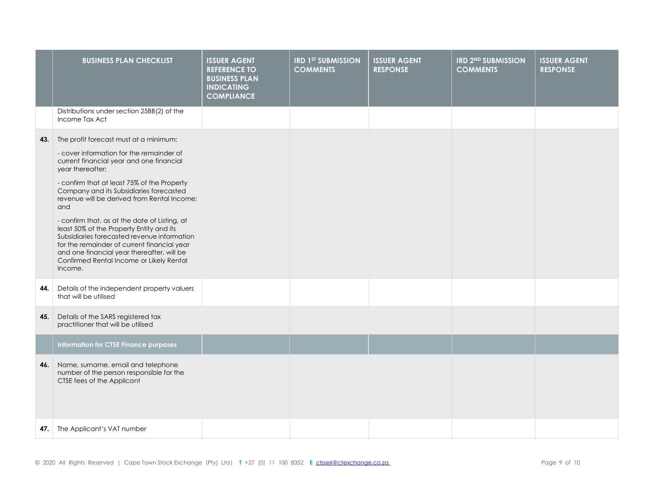|     | <b>BUSINESS PLAN CHECKLIST</b>                                                                                                                                                                                                                                                                                                                                                                                                                                                                                                                                                                     | <b>ISSUER AGENT</b><br><b>REFERENCE TO</b><br><b>BUSINESS PLAN</b><br><b>INDICATING</b><br><b>COMPLIANCE</b> | <b>IRD 1ST SUBMISSION</b><br><b>COMMENTS</b> | <b>ISSUER AGENT</b><br><b>RESPONSE</b> | <b>IRD 2ND SUBMISSION</b><br><b>COMMENTS</b> | <b>ISSUER AGENT</b><br><b>RESPONSE</b> |
|-----|----------------------------------------------------------------------------------------------------------------------------------------------------------------------------------------------------------------------------------------------------------------------------------------------------------------------------------------------------------------------------------------------------------------------------------------------------------------------------------------------------------------------------------------------------------------------------------------------------|--------------------------------------------------------------------------------------------------------------|----------------------------------------------|----------------------------------------|----------------------------------------------|----------------------------------------|
|     | Distributions under section 25BB(2) of the<br>Income Tax Act                                                                                                                                                                                                                                                                                                                                                                                                                                                                                                                                       |                                                                                                              |                                              |                                        |                                              |                                        |
| 43. | The profit forecast must at a minimum:<br>- cover information for the remainder of<br>current financial year and one financial<br>year thereafter;<br>- confirm that at least 75% of the Property<br>Company and its Subsidiaries forecasted<br>revenue will be derived from Rental Income;<br>and<br>- confirm that, as at the date of Listing, at<br>least 50% of the Property Entity and its<br>Subsidiaries forecasted revenue information<br>for the remainder of current financial year<br>and one financial year thereafter, will be<br>Confirmed Rental Income or Likely Rental<br>Income. |                                                                                                              |                                              |                                        |                                              |                                        |
| 44. | Details of the independent property valuers<br>that will be utilised                                                                                                                                                                                                                                                                                                                                                                                                                                                                                                                               |                                                                                                              |                                              |                                        |                                              |                                        |
| 45. | Details of the SARS registered tax<br>practitioner that will be utilised                                                                                                                                                                                                                                                                                                                                                                                                                                                                                                                           |                                                                                                              |                                              |                                        |                                              |                                        |
|     | <b>Information for CTSE Finance purposes</b>                                                                                                                                                                                                                                                                                                                                                                                                                                                                                                                                                       |                                                                                                              |                                              |                                        |                                              |                                        |
| 46. | Name, surname, email and telephone<br>number of the person responsible for the<br>CTSE fees of the Applicant                                                                                                                                                                                                                                                                                                                                                                                                                                                                                       |                                                                                                              |                                              |                                        |                                              |                                        |
| 47. | The Applicant's VAT number                                                                                                                                                                                                                                                                                                                                                                                                                                                                                                                                                                         |                                                                                                              |                                              |                                        |                                              |                                        |